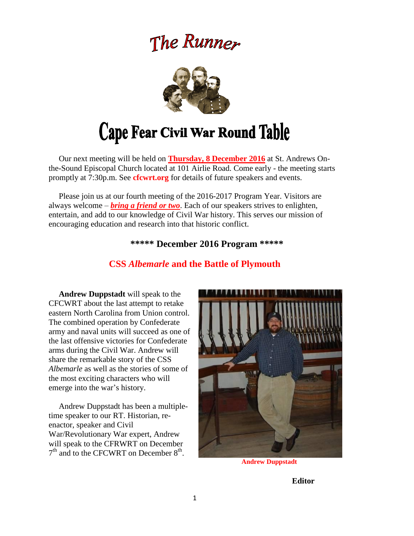# The Runner



# Cape Fear Civil War Round Table

 Our next meeting will be held on **Thursday, 8 December 2016** at St. Andrews Onthe-Sound Episcopal Church located at 101 Airlie Road. Come early - the meeting starts promptly at 7:30p.m. See **cfcwrt.org** for details of future speakers and events.

 Please join us at our fourth meeting of the 2016-2017 Program Year. Visitors are always welcome – *bring a friend or two*. Each of our speakers strives to enlighten, entertain, and add to our knowledge of Civil War history. This serves our mission of encouraging education and research into that historic conflict.

#### **\*\*\*\*\* December 2016 Program \*\*\*\*\***

### **CSS** *Albemarle* **and the Battle of Plymouth**

**Andrew Duppstadt** will speak to the CFCWRT about the last attempt to retake eastern North Carolina from Union control. The combined operation by Confederate army and naval units will succeed as one of the last offensive victories for Confederate arms during the Civil War. Andrew will share the remarkable story of the CSS *Albemarle* as well as the stories of some of the most exciting characters who will emerge into the war's history.

Andrew Duppstadt has been a multipletime speaker to our RT. Historian, reenactor, speaker and Civil War/Revolutionary War expert, Andrew will speak to the CFRWRT on December  $7<sup>th</sup>$  and to the CFCWRT on December  $8<sup>th</sup>$ .



**Andrew Duppstadt**

**Editor**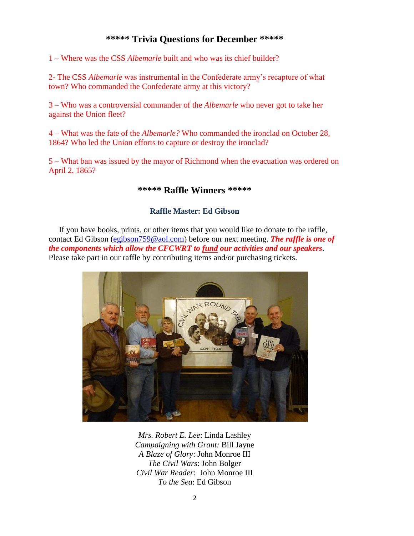### **\*\*\*\*\* Trivia Questions for December \*\*\*\*\***

1 – Where was the CSS *Albemarle* built and who was its chief builder?

2- The CSS *Albemarle* was instrumental in the Confederate army's recapture of what town? Who commanded the Confederate army at this victory?

3 – Who was a controversial commander of the *Albemarle* who never got to take her against the Union fleet?

4 – What was the fate of the *Albemarle?* Who commanded the ironclad on October 28, 1864? Who led the Union efforts to capture or destroy the ironclad?

5 – What ban was issued by the mayor of Richmond when the evacuation was ordered on April 2, 1865?

#### **\*\*\*\*\* Raffle Winners \*\*\*\*\***

#### **Raffle Master: Ed Gibson**

If you have books, prints, or other items that you would like to donate to the raffle, contact Ed Gibson [\(egibson759@aol.com\)](mailto:egibson759@aol.com) before our next meeting. *The raffle is one of the components which allow the CFCWRT to fund our activities and our speakers*. Please take part in our raffle by contributing items and/or purchasing tickets.



*Mrs. Robert E. Lee*: Linda Lashley *Campaigning with Grant:* Bill Jayne *A Blaze of Glory*: John Monroe III *The Civil Wars*: John Bolger *Civil War Reader*: John Monroe III *To the Sea*: Ed Gibson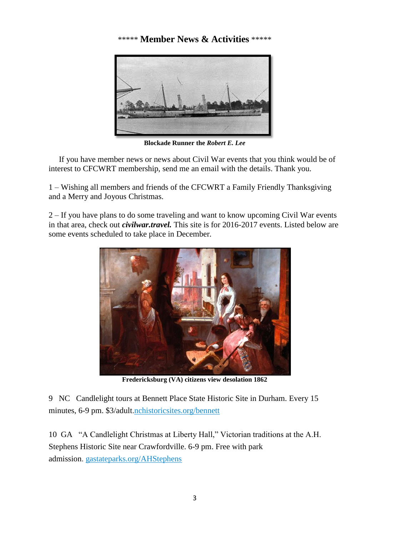## \*\*\*\*\* **Member News & Activities** \*\*\*\*\*



**Blockade Runner the** *Robert E. Lee*

 If you have member news or news about Civil War events that you think would be of interest to CFCWRT membership, send me an email with the details. Thank you.

1 – Wishing all members and friends of the CFCWRT a Family Friendly Thanksgiving and a Merry and Joyous Christmas.

2 – If you have plans to do some traveling and want to know upcoming Civil War events in that area, check out *civilwar.travel.* This site is for 2016-2017 events. Listed below are some events scheduled to take place in December.



**Fredericksburg (VA) citizens view desolation 1862**

9 NC Candlelight tours at Bennett Place State Historic Site in Durham. Every 15 minutes, 6-9 pm. \$3/adult[.nchistoricsites.org/bennett](http://www.nchistoricsites.org/bennett/)

10 GA "A Candlelight Christmas at Liberty Hall," Victorian traditions at the A.H. Stephens Historic Site near Crawfordville. 6-9 pm. Free with park admission. [gastateparks.org/AHStephens](http://gastateparks.org/AHStephens)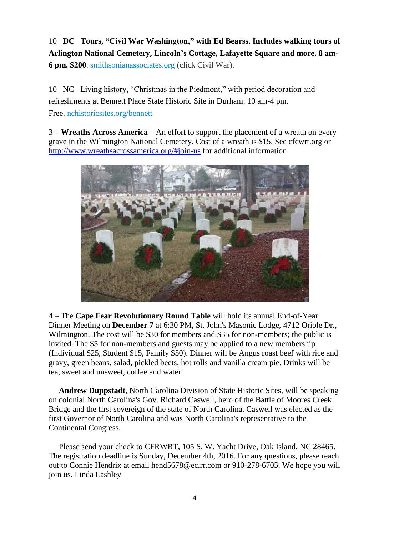10 **DC Tours, "Civil War Washington," with Ed Bearss. Includes walking tours of Arlington National Cemetery, Lincoln's Cottage, Lafayette Square and more. 8 am-6 pm. \$200**. [smithsonianassociates.org](https://smithsonianassociates.org/) (click Civil War).

10 NC Living history, "Christmas in the Piedmont," with period decoration and refreshments at Bennett Place State Historic Site in Durham. 10 am-4 pm. Free. [nchistoricsites.org/bennett](http://www.nchistoricsites.org/bennett/)

3 – **Wreaths Across America** – An effort to support the placement of a wreath on every grave in the Wilmington National Cemetery. Cost of a wreath is \$15. See cfcwrt.org or <http://www.wreathsacrossamerica.org/#join-us> for additional information.



4 – The **Cape Fear Revolutionary Round Table** will hold its annual End-of-Year Dinner Meeting on **December 7** at 6:30 PM, St. John's Masonic Lodge, 4712 Oriole Dr., Wilmington. The cost will be \$30 for members and \$35 for non-members; the public is invited. The \$5 for non-members and guests may be applied to a new membership (Individual \$25, Student \$15, Family \$50). Dinner will be Angus roast beef with rice and gravy, green beans, salad, pickled beets, hot rolls and vanilla cream pie. Drinks will be tea, sweet and unsweet, coffee and water.

 **Andrew Duppstadt**, North Carolina Division of State Historic Sites, will be speaking on colonial North Carolina's Gov. Richard Caswell, hero of the Battle of Moores Creek Bridge and the first sovereign of the state of North Carolina. Caswell was elected as the first Governor of North Carolina and was North Carolina's representative to the Continental Congress.

 Please send your check to CFRWRT, 105 S. W. Yacht Drive, Oak Island, NC 28465. The registration deadline is Sunday, December 4th, 2016. For any questions, please reach out to Connie Hendrix at email hend5678@ec.rr.com or 910-278-6705. We hope you will join us. Linda Lashley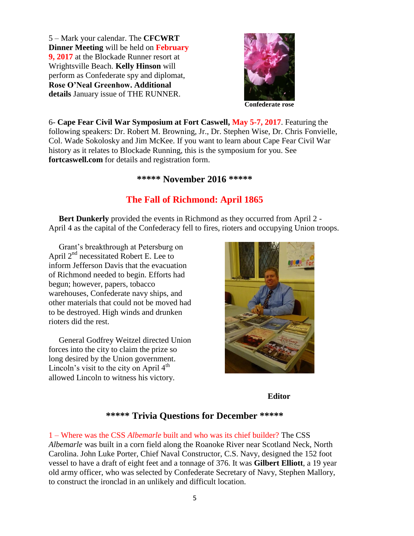5 – Mark your calendar. The **CFCWRT Dinner Meeting** will be held on **February 9, 2017** at the Blockade Runner resort at Wrightsville Beach. **Kelly Hinson** will perform as Confederate spy and diplomat, **Rose O'Neal Greenhow. Additional details** January issue of THE RUNNER.



6- **Cape Fear Civil War Symposium at Fort Caswell, May 5-7, 2017**. Featuring the following speakers: Dr. Robert M. Browning, Jr., Dr. Stephen Wise, Dr. Chris Fonvielle, Col. Wade Sokolosky and Jim McKee. If you want to learn about Cape Fear Civil War history as it relates to Blockade Running, this is the symposium for you. See **fortcaswell.com** for details and registration form.

#### **\*\*\*\*\* November 2016 \*\*\*\*\***

## **The Fall of Richmond: April 1865**

 **Bert Dunkerly** provided the events in Richmond as they occurred from April 2 - April 4 as the capital of the Confederacy fell to fires, rioters and occupying Union troops.

 Grant's breakthrough at Petersburg on April  $2^{nd}$  necessitated Robert E. Lee to inform Jefferson Davis that the evacuation of Richmond needed to begin. Efforts had begun; however, papers, tobacco warehouses, Confederate navy ships, and other materials that could not be moved had to be destroyed. High winds and drunken rioters did the rest.

 General Godfrey Weitzel directed Union forces into the city to claim the prize so long desired by the Union government. Lincoln's visit to the city on April  $4<sup>th</sup>$ allowed Lincoln to witness his victory.



#### **Editor**

## **\*\*\*\*\* Trivia Questions for December \*\*\*\*\***

1 – Where was the CSS *Albemarle* built and who was its chief builder? The CSS *Albemarle* was built in a corn field along the Roanoke River near Scotland Neck, North Carolina. John Luke Porter, Chief Naval Constructor, C.S. Navy, designed the 152 foot vessel to have a draft of eight feet and a tonnage of 376. It was **Gilbert Elliott**, a 19 year old army officer, who was selected by Confederate Secretary of Navy, Stephen Mallory, to construct the ironclad in an unlikely and difficult location.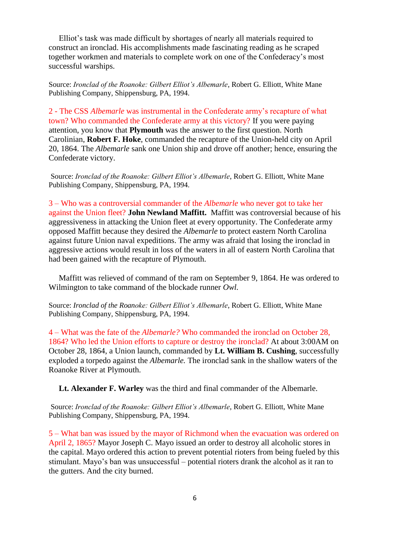Elliot's task was made difficult by shortages of nearly all materials required to construct an ironclad. His accomplishments made fascinating reading as he scraped together workmen and materials to complete work on one of the Confederacy's most successful warships.

Source: *Ironclad of the Roanoke: Gilbert Elliot's Albemarle*, Robert G. Elliott, White Mane Publishing Company, Shippensburg, PA, 1994.

2 - The CSS *Albemarle* was instrumental in the Confederate army's recapture of what town? Who commanded the Confederate army at this victory? If you were paying attention, you know that **Plymouth** was the answer to the first question. North Carolinian, **Robert F. Hoke**, commanded the recapture of the Union-held city on April 20, 1864. The *Albemarle* sank one Union ship and drove off another; hence, ensuring the Confederate victory.

Source: *Ironclad of the Roanoke: Gilbert Elliot's Albemarle*, Robert G. Elliott, White Mane Publishing Company, Shippensburg, PA, 1994.

3 – Who was a controversial commander of the *Albemarle* who never got to take her against the Union fleet? **John Newland Maffitt.** Maffitt was controversial because of his aggressiveness in attacking the Union fleet at every opportunity. The Confederate army opposed Maffitt because they desired the *Albemarle* to protect eastern North Carolina against future Union naval expeditions. The army was afraid that losing the ironclad in aggressive actions would result in loss of the waters in all of eastern North Carolina that had been gained with the recapture of Plymouth.

 Maffitt was relieved of command of the ram on September 9, 1864. He was ordered to Wilmington to take command of the blockade runner *Owl.* 

Source: *Ironclad of the Roanoke: Gilbert Elliot's Albemarle*, Robert G. Elliott, White Mane Publishing Company, Shippensburg, PA, 1994.

4 – What was the fate of the *Albemarle?* Who commanded the ironclad on October 28, 1864? Who led the Union efforts to capture or destroy the ironclad? At about 3:00AM on October 28, 1864, a Union launch, commanded by **Lt. William B. Cushing**, successfully exploded a torpedo against the *Albemarle.* The ironclad sank in the shallow waters of the Roanoke River at Plymouth.

**Lt. Alexander F. Warley** was the third and final commander of the Albemarle.

Source: *Ironclad of the Roanoke: Gilbert Elliot's Albemarle*, Robert G. Elliott, White Mane Publishing Company, Shippensburg, PA, 1994.

5 – What ban was issued by the mayor of Richmond when the evacuation was ordered on April 2, 1865? Mayor Joseph C. Mayo issued an order to destroy all alcoholic stores in the capital. Mayo ordered this action to prevent potential rioters from being fueled by this stimulant. Mayo's ban was unsuccessful – potential rioters drank the alcohol as it ran to the gutters. And the city burned.